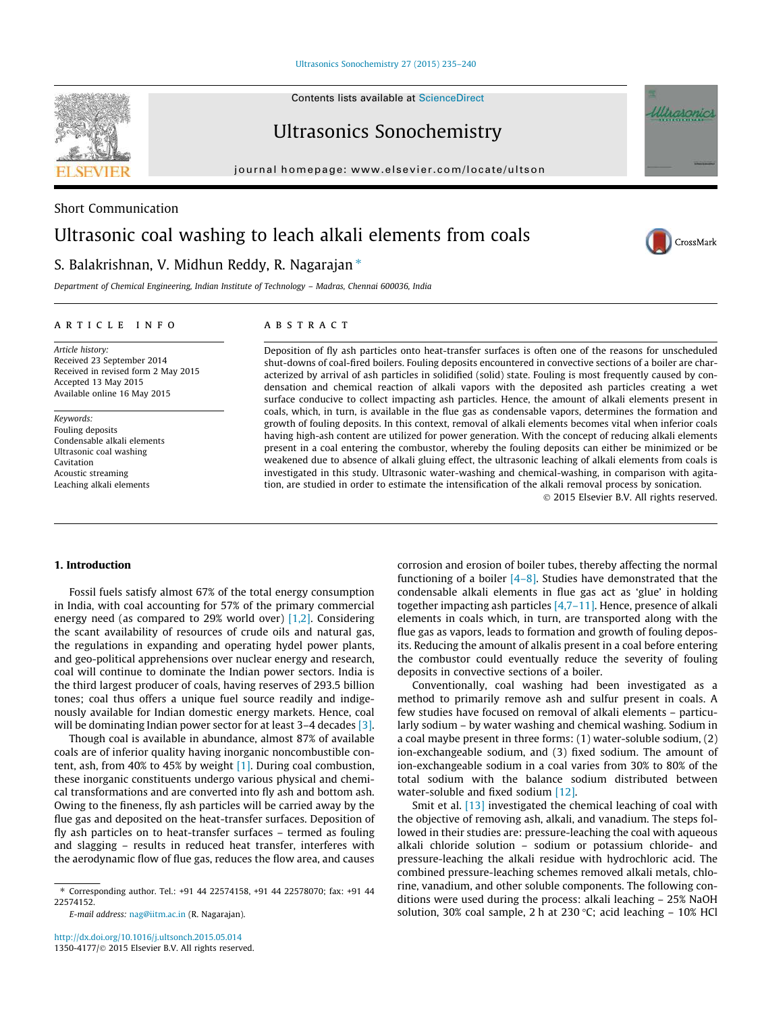Ultrasonics Sonochemistry 27 (2015) 235–240

Contents lists available at ScienceDirect

Ultrasonics Sonochemistry

journal homepage: www.elsevier.com/locate/ultson



# S. Balakrishnan, V. Midhun Reddy, R. Nagarajan  $*$

*Department of Chemical Engineering, Indian Institute of Technology – Madras, Chennai 600036, India*

#### article info

Short Communication

*Article history:* Received 23 September 2014 Received in revised form 2 May 2015 Accepted 13 May 2015 Available online 16 May 2015

*Keywords:* Fouling deposits Condensable alkali elements Ultrasonic coal washing Cavitation Acoustic streaming Leaching alkali elements

#### **ABSTRACT**

Deposition of fly ash particles onto heat-transfer surfaces is often one of the reasons for unscheduled shut-downs of coal-fired boilers. Fouling deposits encountered in convective sections of a boiler are characterized by arrival of ash particles in solidified (solid) state. Fouling is most frequently caused by condensation and chemical reaction of alkali vapors with the deposited ash particles creating a wet surface conducive to collect impacting ash particles. Hence, the amount of alkali elements present in coals, which, in turn, is available in the flue gas as condensable vapors, determines the formation and growth of fouling deposits. In this context, removal of alkali elements becomes vital when inferior coals having high-ash content are utilized for power generation. With the concept of reducing alkali elements present in a coal entering the combustor, whereby the fouling deposits can either be minimized or be weakened due to absence of alkali gluing effect, the ultrasonic leaching of alkali elements from coals is investigated in this study. Ultrasonic water-washing and chemical-washing, in comparison with agitation, are studied in order to estimate the intensification of the alkali removal process by sonication.

 $@$  2015 Elsevier B.V. All rights reserved.

## 1. Introduction

Fossil fuels satisfy almost 67% of the total energy consumption in India, with coal accounting for 57% of the primary commercial energy need (as compared to 29% world over) [1,2]. Considering the scant availability of resources of crude oils and natural gas, the regulations in expanding and operating hydel power plants, and geo-political apprehensions over nuclear energy and research, coal will continue to dominate the Indian power sectors. India is the third largest producer of coals, having reserves of 293.5 billion tones; coal thus offers a unique fuel source readily and indigenously available for Indian domestic energy markets. Hence, coal will be dominating Indian power sector for at least 3–4 decades [3].

Though coal is available in abundance, almost 87% of available coals are of inferior quality having inorganic noncombustible content, ash, from 40% to 45% by weight [1]. During coal combustion, these inorganic constituents undergo various physical and chemical transformations and are converted into fly ash and bottom ash. Owing to the fineness, fly ash particles will be carried away by the flue gas and deposited on the heat-transfer surfaces. Deposition of fly ash particles on to heat-transfer surfaces – termed as fouling and slagging – results in reduced heat transfer, interferes with the aerodynamic flow of flue gas, reduces the flow area, and causes

*E-mail address:* nag@iitm.ac.in (R. Nagarajan).

http://dx.doi.org/10.1016/j.ultsonch.2015.05.014 1350-4177/© 2015 Elsevier B.V. All rights reserved. corrosion and erosion of boiler tubes, thereby affecting the normal functioning of a boiler  $[4-8]$ . Studies have demonstrated that the condensable alkali elements in flue gas act as 'glue' in holding together impacting ash particles [4,7–11]. Hence, presence of alkali elements in coals which, in turn, are transported along with the flue gas as vapors, leads to formation and growth of fouling deposits. Reducing the amount of alkalis present in a coal before entering the combustor could eventually reduce the severity of fouling deposits in convective sections of a boiler.

Conventionally, coal washing had been investigated as a method to primarily remove ash and sulfur present in coals. A few studies have focused on removal of alkali elements – particularly sodium – by water washing and chemical washing. Sodium in a coal maybe present in three forms: (1) water-soluble sodium, (2) ion-exchangeable sodium, and (3) fixed sodium. The amount of ion-exchangeable sodium in a coal varies from 30% to 80% of the total sodium with the balance sodium distributed between water-soluble and fixed sodium [12].

Smit et al. [13] investigated the chemical leaching of coal with the objective of removing ash, alkali, and vanadium. The steps followed in their studies are: pressure-leaching the coal with aqueous alkali chloride solution – sodium or potassium chloride- and pressure-leaching the alkali residue with hydrochloric acid. The combined pressure-leaching schemes removed alkali metals, chlorine, vanadium, and other soluble components. The following conditions were used during the process: alkali leaching – 25% NaOH solution, 30% coal sample, 2 h at 230 °C; acid leaching  $-$  10% HCl







<sup>⇑</sup> Corresponding author. Tel.: +91 44 22574158, +91 44 22578070; fax: +91 44 22574152.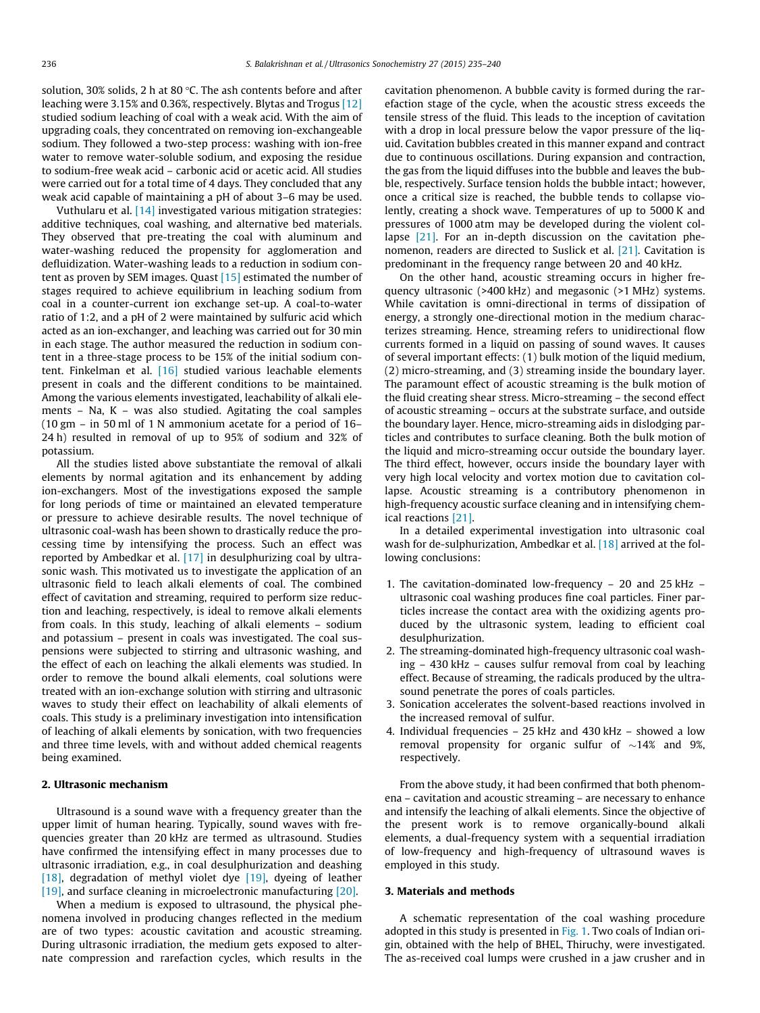solution, 30% solids, 2 h at 80  $\degree$ C. The ash contents before and after leaching were 3.15% and 0.36%, respectively. Blytas and Trogus [12] studied sodium leaching of coal with a weak acid. With the aim of upgrading coals, they concentrated on removing ion-exchangeable sodium. They followed a two-step process: washing with ion-free water to remove water-soluble sodium, and exposing the residue to sodium-free weak acid – carbonic acid or acetic acid. All studies were carried out for a total time of 4 days. They concluded that any weak acid capable of maintaining a pH of about 3–6 may be used.

Vuthularu et al. [14] investigated various mitigation strategies: additive techniques, coal washing, and alternative bed materials. They observed that pre-treating the coal with aluminum and water-washing reduced the propensity for agglomeration and defluidization. Water-washing leads to a reduction in sodium content as proven by SEM images. Quast [15] estimated the number of stages required to achieve equilibrium in leaching sodium from coal in a counter-current ion exchange set-up. A coal-to-water ratio of 1:2, and a pH of 2 were maintained by sulfuric acid which acted as an ion-exchanger, and leaching was carried out for 30 min in each stage. The author measured the reduction in sodium content in a three-stage process to be 15% of the initial sodium content. Finkelman et al. [16] studied various leachable elements present in coals and the different conditions to be maintained. Among the various elements investigated, leachability of alkali elements – Na, K – was also studied. Agitating the coal samples (10 gm – in 50 ml of 1 N ammonium acetate for a period of 16– 24 h) resulted in removal of up to 95% of sodium and 32% of potassium.

All the studies listed above substantiate the removal of alkali elements by normal agitation and its enhancement by adding ion-exchangers. Most of the investigations exposed the sample for long periods of time or maintained an elevated temperature or pressure to achieve desirable results. The novel technique of ultrasonic coal-wash has been shown to drastically reduce the processing time by intensifying the process. Such an effect was reported by Ambedkar et al. [17] in desulphurizing coal by ultrasonic wash. This motivated us to investigate the application of an ultrasonic field to leach alkali elements of coal. The combined effect of cavitation and streaming, required to perform size reduction and leaching, respectively, is ideal to remove alkali elements from coals. In this study, leaching of alkali elements – sodium and potassium – present in coals was investigated. The coal suspensions were subjected to stirring and ultrasonic washing, and the effect of each on leaching the alkali elements was studied. In order to remove the bound alkali elements, coal solutions were treated with an ion-exchange solution with stirring and ultrasonic waves to study their effect on leachability of alkali elements of coals. This study is a preliminary investigation into intensification of leaching of alkali elements by sonication, with two frequencies and three time levels, with and without added chemical reagents being examined.

## 2. Ultrasonic mechanism

Ultrasound is a sound wave with a frequency greater than the upper limit of human hearing. Typically, sound waves with frequencies greater than 20 kHz are termed as ultrasound. Studies have confirmed the intensifying effect in many processes due to ultrasonic irradiation, e.g., in coal desulphurization and deashing [18], degradation of methyl violet dye [19], dyeing of leather [19], and surface cleaning in microelectronic manufacturing [20].

When a medium is exposed to ultrasound, the physical phenomena involved in producing changes reflected in the medium are of two types: acoustic cavitation and acoustic streaming. During ultrasonic irradiation, the medium gets exposed to alternate compression and rarefaction cycles, which results in the cavitation phenomenon. A bubble cavity is formed during the rarefaction stage of the cycle, when the acoustic stress exceeds the tensile stress of the fluid. This leads to the inception of cavitation with a drop in local pressure below the vapor pressure of the liquid. Cavitation bubbles created in this manner expand and contract due to continuous oscillations. During expansion and contraction, the gas from the liquid diffuses into the bubble and leaves the bubble, respectively. Surface tension holds the bubble intact; however, once a critical size is reached, the bubble tends to collapse violently, creating a shock wave. Temperatures of up to 5000 K and pressures of 1000 atm may be developed during the violent collapse [21]. For an in-depth discussion on the cavitation phenomenon, readers are directed to Suslick et al. [21]. Cavitation is predominant in the frequency range between 20 and 40 kHz.

On the other hand, acoustic streaming occurs in higher frequency ultrasonic (>400 kHz) and megasonic (>1 MHz) systems. While cavitation is omni-directional in terms of dissipation of energy, a strongly one-directional motion in the medium characterizes streaming. Hence, streaming refers to unidirectional flow currents formed in a liquid on passing of sound waves. It causes of several important effects: (1) bulk motion of the liquid medium, (2) micro-streaming, and (3) streaming inside the boundary layer. The paramount effect of acoustic streaming is the bulk motion of the fluid creating shear stress. Micro-streaming – the second effect of acoustic streaming – occurs at the substrate surface, and outside the boundary layer. Hence, micro-streaming aids in dislodging particles and contributes to surface cleaning. Both the bulk motion of the liquid and micro-streaming occur outside the boundary layer. The third effect, however, occurs inside the boundary layer with very high local velocity and vortex motion due to cavitation collapse. Acoustic streaming is a contributory phenomenon in high-frequency acoustic surface cleaning and in intensifying chemical reactions [21].

In a detailed experimental investigation into ultrasonic coal wash for de-sulphurization, Ambedkar et al. [18] arrived at the following conclusions:

- 1. The cavitation-dominated low-frequency 20 and 25 kHz ultrasonic coal washing produces fine coal particles. Finer particles increase the contact area with the oxidizing agents produced by the ultrasonic system, leading to efficient coal desulphurization.
- 2. The streaming-dominated high-frequency ultrasonic coal washing – 430 kHz – causes sulfur removal from coal by leaching effect. Because of streaming, the radicals produced by the ultrasound penetrate the pores of coals particles.
- 3. Sonication accelerates the solvent-based reactions involved in the increased removal of sulfur.
- 4. Individual frequencies 25 kHz and 430 kHz showed a low removal propensity for organic sulfur of  $\sim$ 14% and 9%, respectively.

From the above study, it had been confirmed that both phenomena – cavitation and acoustic streaming – are necessary to enhance and intensify the leaching of alkali elements. Since the objective of the present work is to remove organically-bound alkali elements, a dual-frequency system with a sequential irradiation of low-frequency and high-frequency of ultrasound waves is employed in this study.

### 3. Materials and methods

A schematic representation of the coal washing procedure adopted in this study is presented in Fig. 1. Two coals of Indian origin, obtained with the help of BHEL, Thiruchy, were investigated. The as-received coal lumps were crushed in a jaw crusher and in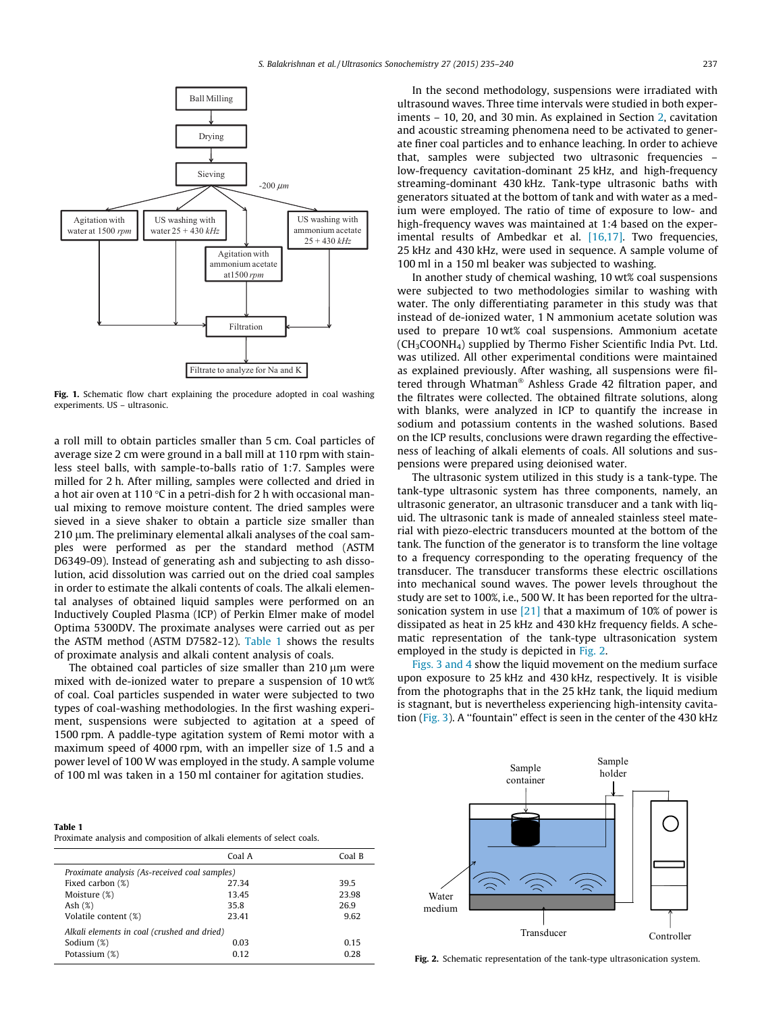

Fig. 1. Schematic flow chart explaining the procedure adopted in coal washing experiments. US – ultrasonic.

a roll mill to obtain particles smaller than 5 cm. Coal particles of average size 2 cm were ground in a ball mill at 110 rpm with stainless steel balls, with sample-to-balls ratio of 1:7. Samples were milled for 2 h. After milling, samples were collected and dried in a hot air oven at 110 °C in a petri-dish for 2 h with occasional manual mixing to remove moisture content. The dried samples were sieved in a sieve shaker to obtain a particle size smaller than  $210 \mu$ m. The preliminary elemental alkali analyses of the coal samples were performed as per the standard method (ASTM D6349-09). Instead of generating ash and subjecting to ash dissolution, acid dissolution was carried out on the dried coal samples in order to estimate the alkali contents of coals. The alkali elemental analyses of obtained liquid samples were performed on an Inductively Coupled Plasma (ICP) of Perkin Elmer make of model Optima 5300DV. The proximate analyses were carried out as per the ASTM method (ASTM D7582-12). Table 1 shows the results of proximate analysis and alkali content analysis of coals.

The obtained coal particles of size smaller than  $210 \mu m$  were mixed with de-ionized water to prepare a suspension of 10 wt% of coal. Coal particles suspended in water were subjected to two types of coal-washing methodologies. In the first washing experiment, suspensions were subjected to agitation at a speed of 1500 rpm. A paddle-type agitation system of Remi motor with a maximum speed of 4000 rpm, with an impeller size of 1.5 and a power level of 100 W was employed in the study. A sample volume of 100 ml was taken in a 150 ml container for agitation studies.

Table 1

Proximate analysis and composition of alkali elements of select coals.

|                                               | Coal A | Coal B |
|-----------------------------------------------|--------|--------|
| Proximate analysis (As-received coal samples) |        |        |
| Fixed carbon (%)                              | 27.34  | 39.5   |
| Moisture (%)                                  | 13.45  | 23.98  |
| Ash $(\%)$                                    | 35.8   | 26.9   |
| Volatile content (%)                          | 23.41  | 9.62   |
| Alkali elements in coal (crushed and dried)   |        |        |
| Sodium (%)                                    | 0.03   | 0.15   |
| Potassium (%)                                 | 0.12   | 0.28   |
|                                               |        |        |

In the second methodology, suspensions were irradiated with ultrasound waves. Three time intervals were studied in both experiments – 10, 20, and 30 min. As explained in Section 2, cavitation and acoustic streaming phenomena need to be activated to generate finer coal particles and to enhance leaching. In order to achieve that, samples were subjected two ultrasonic frequencies – low-frequency cavitation-dominant 25 kHz, and high-frequency streaming-dominant 430 kHz. Tank-type ultrasonic baths with generators situated at the bottom of tank and with water as a medium were employed. The ratio of time of exposure to low- and high-frequency waves was maintained at 1:4 based on the experimental results of Ambedkar et al. [16,17]. Two frequencies, 25 kHz and 430 kHz, were used in sequence. A sample volume of 100 ml in a 150 ml beaker was subjected to washing.

In another study of chemical washing, 10 wt% coal suspensions were subjected to two methodologies similar to washing with water. The only differentiating parameter in this study was that instead of de-ionized water, 1 N ammonium acetate solution was used to prepare 10 wt% coal suspensions. Ammonium acetate  $(CH<sub>3</sub>COONH<sub>4</sub>)$  supplied by Thermo Fisher Scientific India Pvt. Ltd. was utilized. All other experimental conditions were maintained as explained previously. After washing, all suspensions were filtered through Whatman<sup>®</sup> Ashless Grade 42 filtration paper, and the filtrates were collected. The obtained filtrate solutions, along with blanks, were analyzed in ICP to quantify the increase in sodium and potassium contents in the washed solutions. Based on the ICP results, conclusions were drawn regarding the effectiveness of leaching of alkali elements of coals. All solutions and suspensions were prepared using deionised water.

The ultrasonic system utilized in this study is a tank-type. The tank-type ultrasonic system has three components, namely, an ultrasonic generator, an ultrasonic transducer and a tank with liquid. The ultrasonic tank is made of annealed stainless steel material with piezo-electric transducers mounted at the bottom of the tank. The function of the generator is to transform the line voltage to a frequency corresponding to the operating frequency of the transducer. The transducer transforms these electric oscillations into mechanical sound waves. The power levels throughout the study are set to 100%, i.e., 500 W. It has been reported for the ultrasonication system in use [21] that a maximum of 10% of power is dissipated as heat in 25 kHz and 430 kHz frequency fields. A schematic representation of the tank-type ultrasonication system employed in the study is depicted in Fig. 2.

Figs. 3 and 4 show the liquid movement on the medium surface upon exposure to 25 kHz and 430 kHz, respectively. It is visible from the photographs that in the 25 kHz tank, the liquid medium is stagnant, but is nevertheless experiencing high-intensity cavitation (Fig. 3). A ''fountain'' effect is seen in the center of the 430 kHz



Fig. 2. Schematic representation of the tank-type ultrasonication system.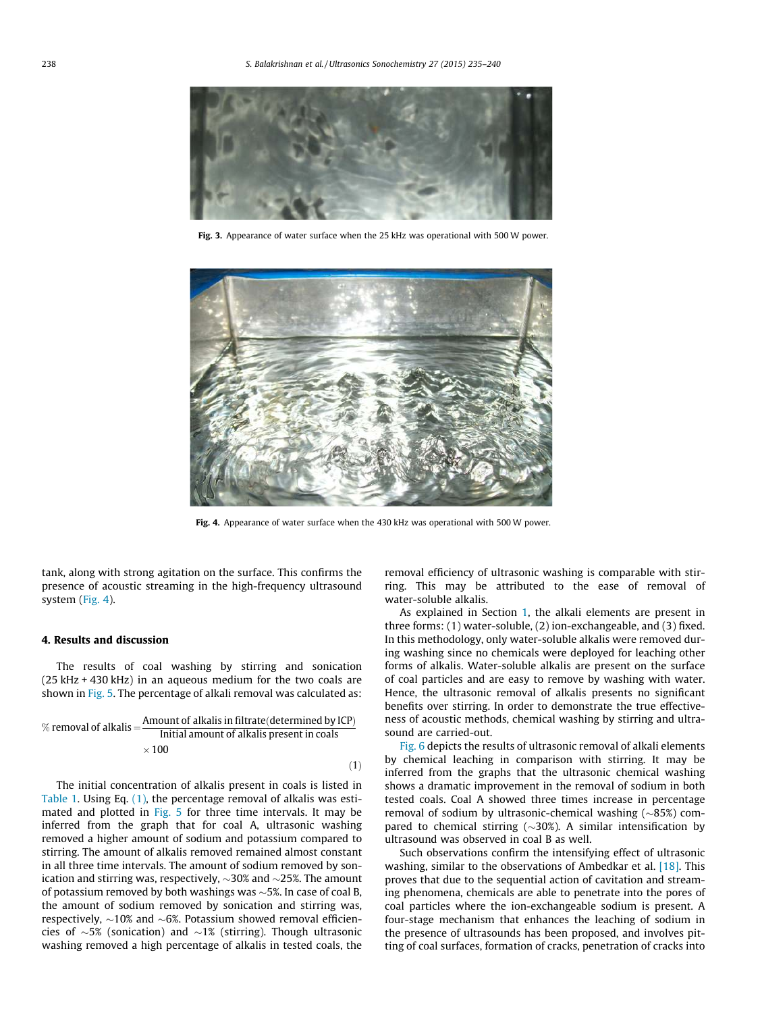

Fig. 3. Appearance of water surface when the 25 kHz was operational with 500 W power.



Fig. 4. Appearance of water surface when the 430 kHz was operational with 500 W power.

 $(1)$ 

tank, along with strong agitation on the surface. This confirms the presence of acoustic streaming in the high-frequency ultrasound system (Fig. 4).

#### 4. Results and discussion

The results of coal washing by stirring and sonication (25 kHz + 430 kHz) in an aqueous medium for the two coals are shown in Fig. 5. The percentage of alkali removal was calculated as:

% removal of alkalis = 
$$
\frac{\text{Amount of alkalis in filtrate (determined by ICP)}}{\text{Initial amount of alkalis present in coals}}
$$

$$
\times 100
$$

The initial concentration of alkalis present in coals is listed in Table 1. Using Eq. (1), the percentage removal of alkalis was estimated and plotted in Fig. 5 for three time intervals. It may be inferred from the graph that for coal A, ultrasonic washing removed a higher amount of sodium and potassium compared to stirring. The amount of alkalis removed remained almost constant in all three time intervals. The amount of sodium removed by sonication and stirring was, respectively,  $\sim$ 30% and  $\sim$ 25%. The amount of potassium removed by both washings was  $\sim$ 5%. In case of coal B, the amount of sodium removed by sonication and stirring was, respectively,  ${\sim}10\%$  and  ${\sim}6\%$ . Potassium showed removal efficiencies of  ${\sim}5\%$  (sonication) and  ${\sim}1\%$  (stirring). Though ultrasonic washing removed a high percentage of alkalis in tested coals, the removal efficiency of ultrasonic washing is comparable with stirring. This may be attributed to the ease of removal of water-soluble alkalis.

As explained in Section 1, the alkali elements are present in three forms: (1) water-soluble, (2) ion-exchangeable, and (3) fixed. In this methodology, only water-soluble alkalis were removed during washing since no chemicals were deployed for leaching other forms of alkalis. Water-soluble alkalis are present on the surface of coal particles and are easy to remove by washing with water. Hence, the ultrasonic removal of alkalis presents no significant benefits over stirring. In order to demonstrate the true effectiveness of acoustic methods, chemical washing by stirring and ultrasound are carried-out.

Fig. 6 depicts the results of ultrasonic removal of alkali elements by chemical leaching in comparison with stirring. It may be inferred from the graphs that the ultrasonic chemical washing shows a dramatic improvement in the removal of sodium in both tested coals. Coal A showed three times increase in percentage removal of sodium by ultrasonic-chemical washing  $(\sim 85%)$  compared to chemical stirring  $(\sim 30\%)$ . A similar intensification by ultrasound was observed in coal B as well.

Such observations confirm the intensifying effect of ultrasonic washing, similar to the observations of Ambedkar et al. [18]. This proves that due to the sequential action of cavitation and streaming phenomena, chemicals are able to penetrate into the pores of coal particles where the ion-exchangeable sodium is present. A four-stage mechanism that enhances the leaching of sodium in the presence of ultrasounds has been proposed, and involves pitting of coal surfaces, formation of cracks, penetration of cracks into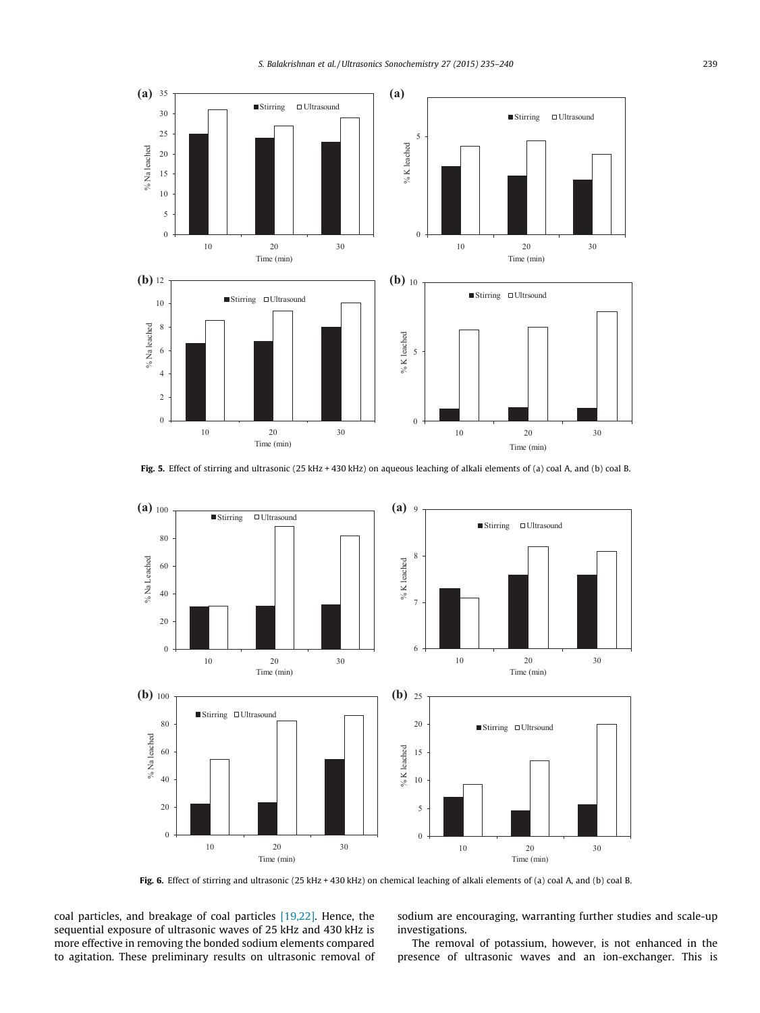

Fig. 5. Effect of stirring and ultrasonic (25 kHz + 430 kHz) on aqueous leaching of alkali elements of (a) coal A, and (b) coal B.



Fig. 6. Effect of stirring and ultrasonic (25 kHz + 430 kHz) on chemical leaching of alkali elements of (a) coal A, and (b) coal B.

coal particles, and breakage of coal particles [19,22]. Hence, the sequential exposure of ultrasonic waves of 25 kHz and 430 kHz is more effective in removing the bonded sodium elements compared to agitation. These preliminary results on ultrasonic removal of sodium are encouraging, warranting further studies and scale-up investigations.

The removal of potassium, however, is not enhanced in the presence of ultrasonic waves and an ion-exchanger. This is